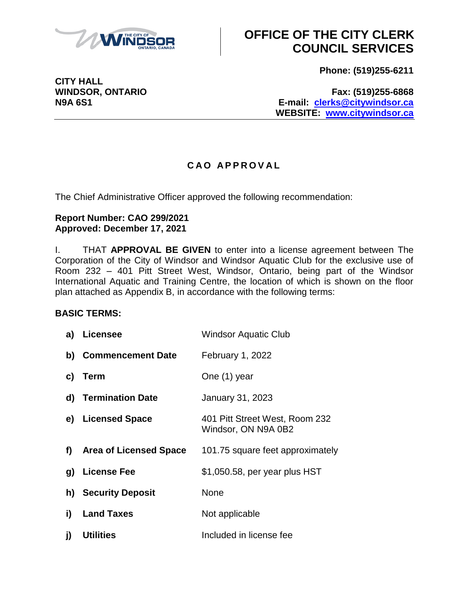

**CITY HALL**

# **OFFICE OF THE CITY CLERK COUNCIL SERVICES**

**Phone: (519)255-6211**

**WINDSOR, ONTARIO Fax: (519)255-6868 N9A 6S1 E-mail: [clerks@citywindsor.ca](mailto:clerks@citywindsor.ca) WEBSITE: [www.citywindsor.ca](http://www.citywindsor.ca/)**

### **C A O A P P R O V A L**

The Chief Administrative Officer approved the following recommendation:

#### **Report Number: CAO 299/2021 Approved: December 17, 2021**

I. THAT **APPROVAL BE GIVEN** to enter into a license agreement between The Corporation of the City of Windsor and Windsor Aquatic Club for the exclusive use of Room 232 – 401 Pitt Street West, Windsor, Ontario, being part of the Windsor International Aquatic and Training Centre, the location of which is shown on the floor plan attached as Appendix B, in accordance with the following terms:

### **BASIC TERMS:**

|    | a) Licensee               | <b>Windsor Aquatic Club</b>                           |
|----|---------------------------|-------------------------------------------------------|
|    | b) Commencement Date      | February 1, 2022                                      |
| C) | <b>Term</b>               | One (1) year                                          |
|    | d) Termination Date       | January 31, 2023                                      |
|    | e) Licensed Space         | 401 Pitt Street West, Room 232<br>Windsor, ON N9A 0B2 |
|    | f) Area of Licensed Space | 101.75 square feet approximately                      |
| g) | <b>License Fee</b>        | \$1,050.58, per year plus HST                         |
|    | h) Security Deposit       | None                                                  |
| i) | <b>Land Taxes</b>         | Not applicable                                        |
| j) | <b>Utilities</b>          | Included in license fee                               |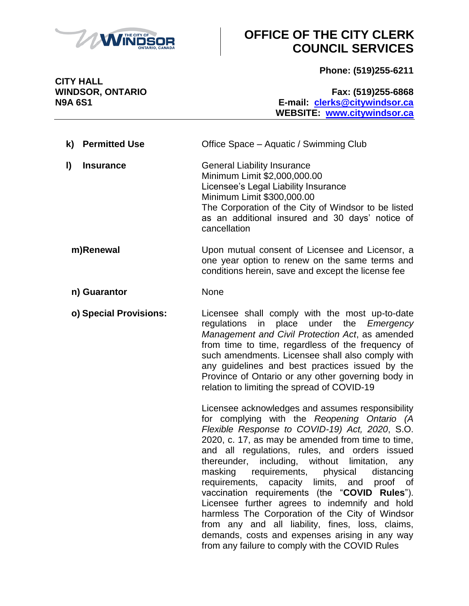

# **OFFICE OF THE CITY CLERK COUNCIL SERVICES**

**Phone: (519)255-6211**

**CITY HALL**

**WINDSOR, ONTARIO Fax: (519)255-6868 N9A 6S1 E-mail: [clerks@citywindsor.ca](mailto:clerks@citywindsor.ca) WEBSITE: [www.citywindsor.ca](http://www.citywindsor.ca/)**

- **k) Permitted Use** Office Space Aquatic / Swimming Club **l) Insurance General Liability Insurance** Minimum Limit \$2,000,000.00 Licensee's Legal Liability Insurance Minimum Limit \$300,000.00 The Corporation of the City of Windsor to be listed as an additional insured and 30 days' notice of cancellation **m)Renewal** Upon mutual consent of Licensee and Licensor, a one year option to renew on the same terms and conditions herein, save and except the license fee **n) Guarantor** None
	- **o) Special Provisions:** Licensee shall comply with the most up-to-date regulations in place under the *Emergency Management and Civil Protection Act*, as amended from time to time, regardless of the frequency of such amendments. Licensee shall also comply with any guidelines and best practices issued by the Province of Ontario or any other governing body in relation to limiting the spread of COVID-19

Licensee acknowledges and assumes responsibility for complying with the *Reopening Ontario (A Flexible Response to COVID-19) Act, 2020*, S.O. 2020, c. 17, as may be amended from time to time, and all regulations, rules, and orders issued thereunder, including, without limitation, any masking requirements, physical distancing requirements, capacity limits, and proof of vaccination requirements (the "**COVID Rules**"). Licensee further agrees to indemnify and hold harmless The Corporation of the City of Windsor from any and all liability, fines, loss, claims, demands, costs and expenses arising in any way from any failure to comply with the COVID Rules